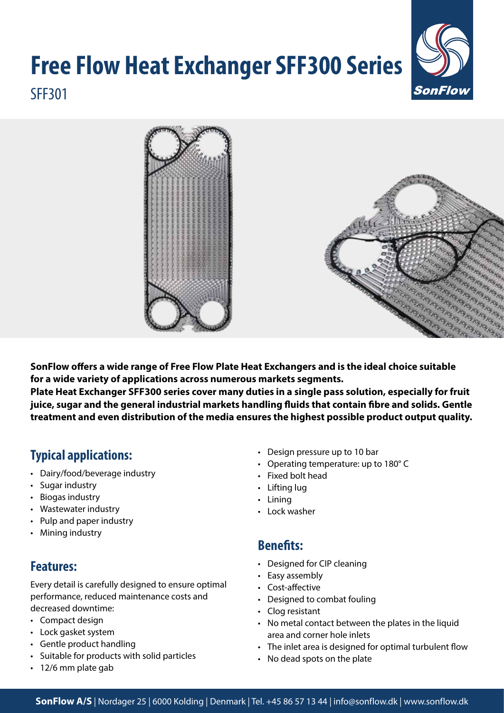# **Free Flow Heat Exchanger SFF300 Series** SFF301





**SonFlow offers a wide range of Free Flow Plate Heat Exchangers and is the ideal choice suitable for a wide variety of applications across numerous markets segments.** 

**Plate Heat Exchanger SFF300 series cover many duties in a single pass solution, especially for fruit juice, sugar and the general industrial markets handling fluids that contain fibre and solids. Gentle treatment and even distribution of the media ensures the highest possible product output quality.**

## **Typical applications:**

- Dairy/food/beverage industry
- Sugar industry
- Biogas industry
- Wastewater industry
- Pulp and paper industry
- Mining industry

### **Features:**

Every detail is carefully designed to ensure optimal performance, reduced maintenance costs and decreased downtime:

- Compact design
- Lock gasket system
- Gentle product handling
- Suitable for products with solid particles
- 12/6 mm plate gab
- Design pressure up to 10 bar
- Operating temperature: up to 180° C
- Fixed bolt head
- Lifting lug
- Lining
- Lock washer

#### **Benefits:**

- Designed for CIP cleaning
- Easy assembly
- Cost-affective
- Designed to combat fouling
- Clog resistant
- No metal contact between the plates in the liquid area and corner hole inlets
- The inlet area is designed for optimal turbulent flow
- No dead spots on the plate